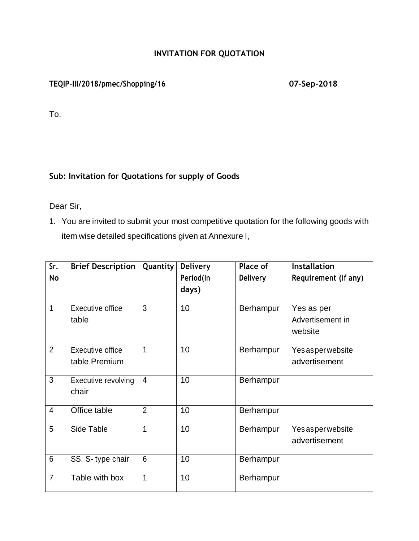### **INVITATION FOR QUOTATION**

## **TEQIP-III/2018/pmec/Shopping/16 07-Sep-2018**

To,

#### **Sub: Invitation for Quotations for supply of Goods**

Dear Sir,

1. You are invited to submit your most competitive quotation for the following goods with item wise detailed specifications given at Annexure I,

| Sr.            | <b>Brief Description</b> | Quantity       | <b>Delivery</b> | Place of         | <b>Installation</b>  |
|----------------|--------------------------|----------------|-----------------|------------------|----------------------|
| No             |                          |                | Period(In       | <b>Delivery</b>  | Requirement (if any) |
|                |                          |                | days)           |                  |                      |
| 1              | Executive office         | 3              | 10              | Berhampur        | Yes as per           |
|                | table                    |                |                 |                  | Advertisement in     |
|                |                          |                |                 |                  | website              |
| $\overline{2}$ | Executive office         | 1              | 10              | Berhampur        | Yes as per website   |
|                | table Premium            |                |                 |                  | advertisement        |
| 3              | Executive revolving      | $\overline{4}$ | 10              | <b>Berhampur</b> |                      |
|                | chair                    |                |                 |                  |                      |
| $\overline{4}$ | Office table             | $\overline{2}$ | 10              | Berhampur        |                      |
| 5              | Side Table               | 1              | 10              | Berhampur        | Yes as per website   |
|                |                          |                |                 |                  | advertisement        |
| 6              | SS. S-type chair         | 6              | 10              | Berhampur        |                      |
| $\overline{7}$ | Table with box           | 1              | 10              | Berhampur        |                      |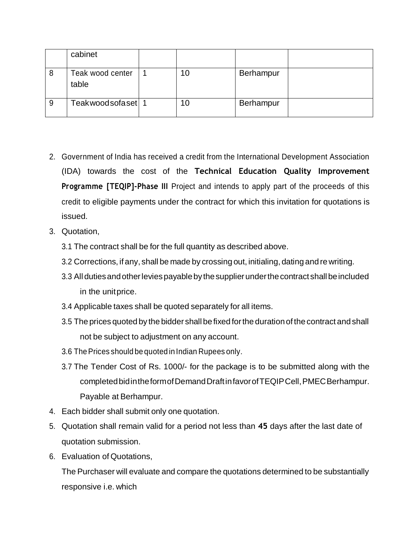|   | cabinet                   |    |           |  |
|---|---------------------------|----|-----------|--|
|   | Teak wood center<br>table | 10 | Berhampur |  |
| 9 | Teakwoodsofaset 1         | 10 | Berhampur |  |

- 2. Government of India has received a credit from the International Development Association (IDA) towards the cost of the **Technical Education Quality Improvement Programme [TEQIP]-Phase III** Project and intends to apply part of the proceeds of this credit to eligible payments under the contract for which this invitation for quotations is issued.
- 3. Quotation,
	- 3.1 The contract shall be for the full quantity as described above.
	- 3.2 Corrections, if any, shall be made by crossing out, initialing, dating and rewriting.
	- 3.3 Alldutiesandotherleviespayablebythesupplierunderthecontract shallbeincluded in the unitprice.
	- 3.4 Applicable taxes shall be quoted separately for all items.
	- 3.5 The prices quoted by the bidder shall be fixed forthe durationof the contract and shall not be subject to adjustment on any account.
	- 3.6 The Prices should be quoted in Indian Rupees only.
	- 3.7 The Tender Cost of Rs. 1000/- for the package is to be submitted along with the completedbidintheformofDemandDraftinfavorofTEQIPCell,PMECBerhampur. Payable at Berhampur.
- 4. Each bidder shall submit only one quotation.
- 5. Quotation shall remain valid for a period not less than **45** days after the last date of quotation submission.
- 6. Evaluation of Quotations,

The Purchaser will evaluate and compare the quotations determined to be substantially responsive i.e. which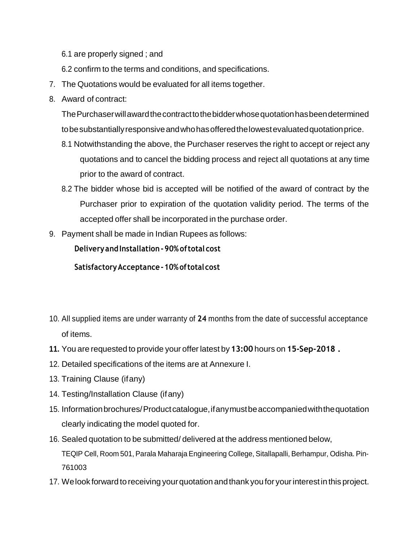6.1 are properly signed ; and

6.2 confirm to the terms and conditions, and specifications.

- 7. The Quotations would be evaluated for all items together.
- 8. Award of contract:

ThePurchaserwillawardthecontracttothebidderwhosequotationhasbeendetermined tobesubstantiallyresponsiveandwhohasofferedthelowestevaluatedquotationprice.

- 8.1 Notwithstanding the above, the Purchaser reserves the right to accept or reject any quotations and to cancel the bidding process and reject all quotations at any time prior to the award of contract.
- 8.2 The bidder whose bid is accepted will be notified of the award of contract by the Purchaser prior to expiration of the quotation validity period. The terms of the accepted offer shall be incorporated in the purchase order.
- 9. Payment shall be made in Indian Rupees as follows:

**DeliveryandInstallation-90%oftotal cost** 

**SatisfactoryAcceptance-10%oftotalcost**

- 10. All supplied items are under warranty of **24** months from the date of successful acceptance of items.
- **11.** You are requested to provide your offer latest by**13:00** hours on **15-Sep-2018 .**
- 12. Detailed specifications of the items are at Annexure I.
- 13. Training Clause (ifany)
- 14. Testing/Installation Clause (ifany)
- 15. Informationbrochures/Productcatalogue,ifanymustbeaccompaniedwiththequotation clearly indicating the model quoted for.
- 16. Sealed quotation to be submitted/ delivered at the address mentioned below, TEQIP Cell, Room 501, Parala Maharaja Engineering College, Sitallapalli, Berhampur, Odisha. Pin-761003
- 17. Welook forward to receiving yourquotation andthank you for yourinterestin this project.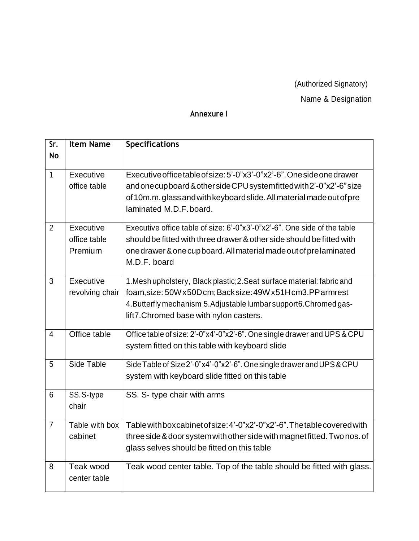(Authorized Signatory) Name & Designation

# **Annexure I**

| $\overline{\text{Sr.}}$ | <b>Item Name</b>                     | <b>Specifications</b>                                                                                                                                                                                                                                      |
|-------------------------|--------------------------------------|------------------------------------------------------------------------------------------------------------------------------------------------------------------------------------------------------------------------------------------------------------|
| <b>No</b>               |                                      |                                                                                                                                                                                                                                                            |
| $\overline{1}$          | Executive<br>office table            | Executive office table of size: 5'-0"x3'-0"x2'-6". One side one drawer<br>andonecupboard&othersideCPUsystemfittedwith2'-0"x2'-6"size<br>of 10m.m. glass and with keyboard slide. All material made out of pre<br>laminated M.D.F. board.                   |
| $\overline{2}$          | Executive<br>office table<br>Premium | Executive office table of size: 6'-0"x3'-0"x2'-6". One side of the table<br>should be fitted with three drawer & other side should be fitted with<br>one drawer & one cup board. All material made out of prelaminated<br>M.D.F. board                     |
| 3                       | Executive<br>revolving chair         | 1. Mesh upholstery, Black plastic; 2. Seat surface material: fabric and<br>foam, size: 50W x 50D cm; Back size: 49W x 51H cm3. PP armrest<br>4. Butterfly mechanism 5. Adjustable lumbar support6. Chromed gas-<br>lift7. Chromed base with nylon casters. |
| $\overline{4}$          | Office table                         | Office table of size: 2'-0"x4'-0"x2'-6". One single drawer and UPS & CPU<br>system fitted on this table with keyboard slide                                                                                                                                |
| 5                       | Side Table                           | Side Table of Size 2'-0"x4'-0"x2'-6". One single drawer and UPS & CPU<br>system with keyboard slide fitted on this table                                                                                                                                   |
| $6\phantom{1}6$         | SS.S-type<br>chair                   | SS. S- type chair with arms                                                                                                                                                                                                                                |
| $\overline{7}$          | Table with box<br>cabinet            | Table with boxcabinet of size: 4'-0"x2'-0"x2'-6". The table covered with<br>three side & door system with other side with magnet fitted. Two nos. of<br>glass selves should be fitted on this table                                                        |
| 8                       | Teak wood<br>center table            | Teak wood center table. Top of the table should be fitted with glass.                                                                                                                                                                                      |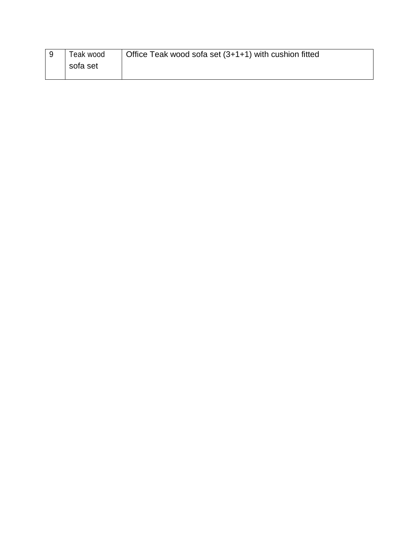| Teak wood | Office Teak wood sofa set (3+1+1) with cushion fitted |
|-----------|-------------------------------------------------------|
| sofa set  |                                                       |
|           |                                                       |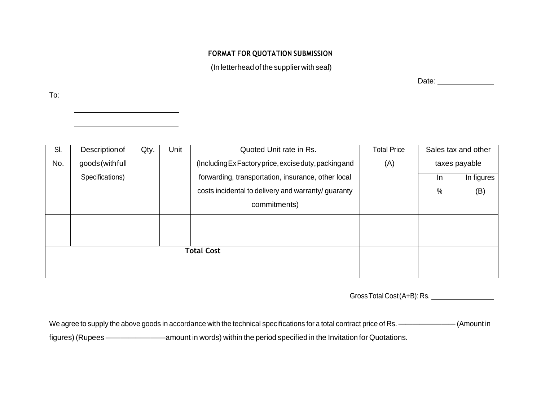#### **FORMAT FOR QUOTATION SUBMISSION**

(In letterhead ofthe supplierwithseal)

To:

Date: \_\_\_\_\_\_\_\_\_\_\_\_\_\_

| SI.               | Description of   | Qty. | Unit | Quoted Unit rate in Rs.                               | <b>Total Price</b> | Sales tax and other |            |
|-------------------|------------------|------|------|-------------------------------------------------------|--------------------|---------------------|------------|
| No.               | goods (with full |      |      | (Including Ex Factory price, excise duty, packing and | (A)                | taxes payable       |            |
|                   | Specifications)  |      |      | forwarding, transportation, insurance, other local    |                    | In.                 | In figures |
|                   |                  |      |      | costs incidental to delivery and warranty/ guaranty   |                    | $\%$                | (B)        |
|                   |                  |      |      | commitments)                                          |                    |                     |            |
|                   |                  |      |      |                                                       |                    |                     |            |
|                   |                  |      |      |                                                       |                    |                     |            |
| <b>Total Cost</b> |                  |      |      |                                                       |                    |                     |            |
|                   |                  |      |      |                                                       |                    |                     |            |
|                   |                  |      |      |                                                       |                    |                     |            |

GrossTotal Cost(A+B): Rs.

We agree to supply the above goods in accordance with the technical specifications for a total contract price of Rs. —————————— (Amount in figures) (Rupees ————————amount in words) within the period specified in the Invitation for Quotations.